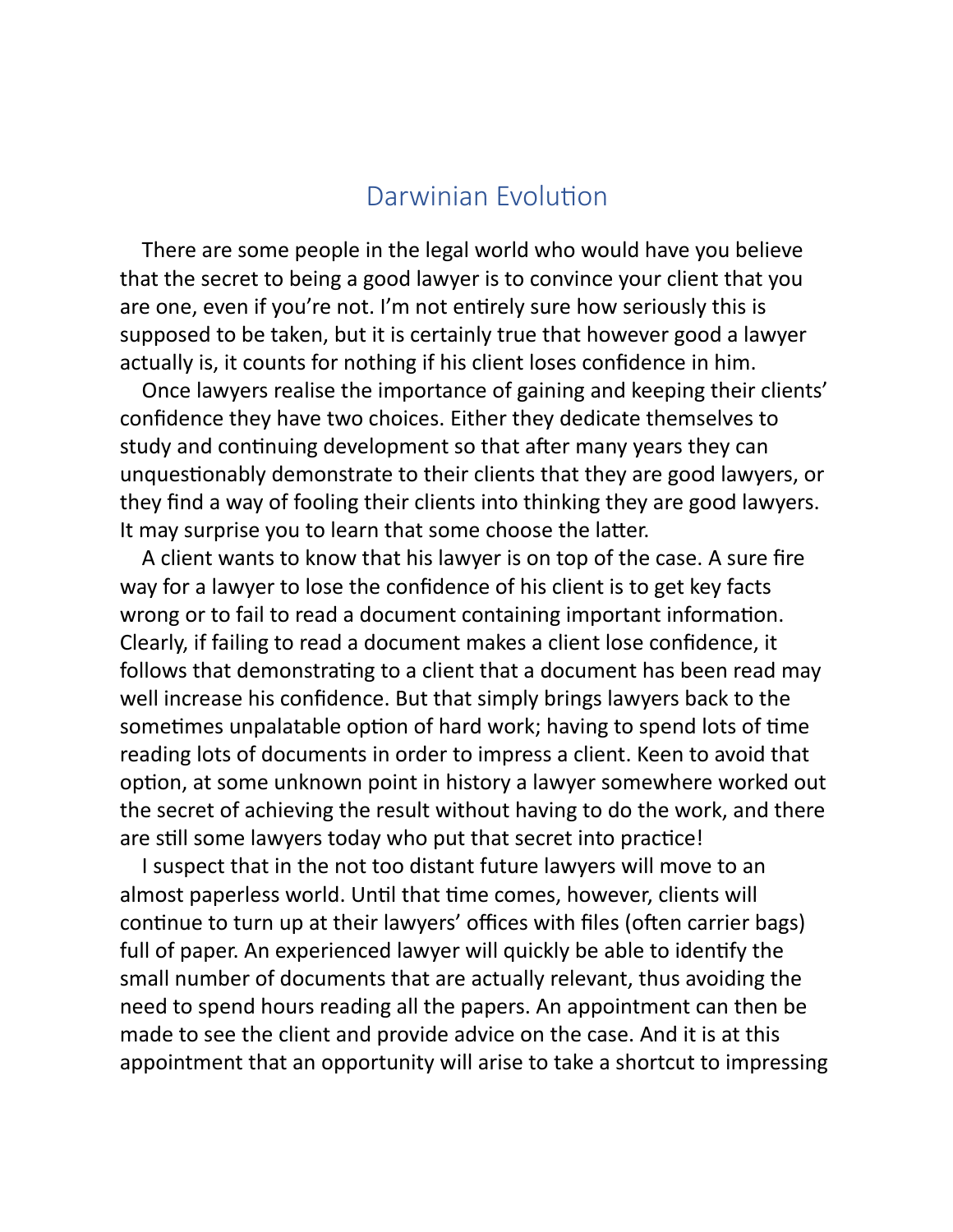# Darwinian Evolution

There are some people in the legal world who would have you believe that the secret to being a good lawyer is to convince your client that you are one, even if you're not. I'm not entirely sure how seriously this is supposed to be taken, but it is certainly true that however good a lawyer actually is, it counts for nothing if his client loses confidence in him.

Once lawyers realise the importance of gaining and keeping their clients' confidence they have two choices. Either they dedicate themselves to study and continuing development so that after many years they can unquestionably demonstrate to their clients that they are good lawyers, or they find a way of fooling their clients into thinking they are good lawyers. It may surprise you to learn that some choose the latter.

A client wants to know that his lawyer is on top of the case. A sure fire way for a lawyer to lose the confidence of his client is to get key facts wrong or to fail to read a document containing important information. Clearly, if failing to read a document makes a client lose confidence, it follows that demonstrating to a client that a document has been read may well increase his confidence. But that simply brings lawyers back to the sometimes unpalatable option of hard work; having to spend lots of time reading lots of documents in order to impress a client. Keen to avoid that option, at some unknown point in history a lawyer somewhere worked out the secret of achieving the result without having to do the work, and there are still some lawyers today who put that secret into practice!

I suspect that in the not too distant future lawyers will move to an almost paperless world. Until that time comes, however, clients will continue to turn up at their lawyers' offices with files (often carrier bags) full of paper. An experienced lawyer will quickly be able to identify the small number of documents that are actually relevant, thus avoiding the need to spend hours reading all the papers. An appointment can then be made to see the client and provide advice on the case. And it is at this appointment that an opportunity will arise to take a shortcut to impressing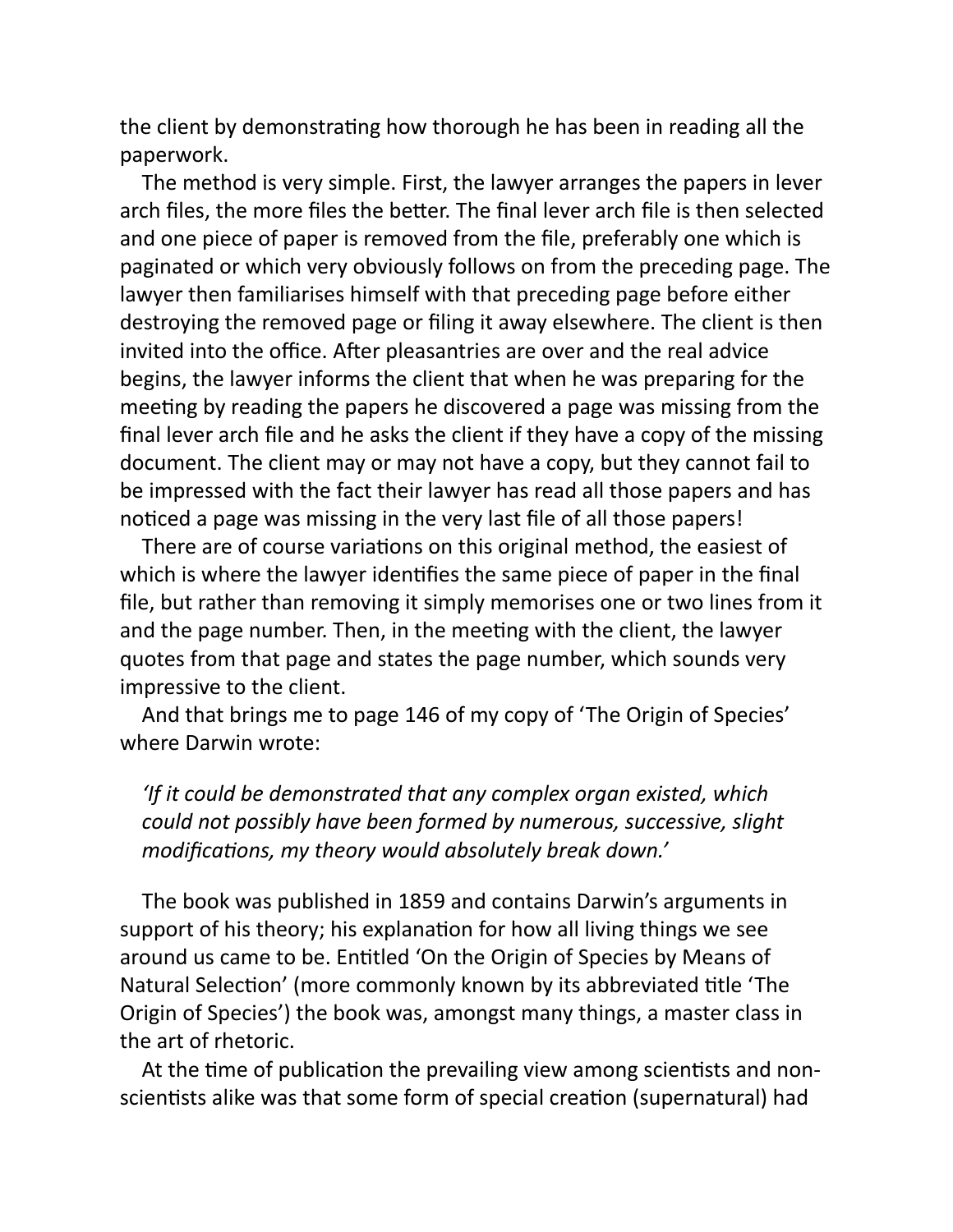the client by demonstrating how thorough he has been in reading all the paperwork.

The method is very simple. First, the lawyer arranges the papers in lever arch files, the more files the better. The final lever arch file is then selected and one piece of paper is removed from the file, preferably one which is paginated or which very obviously follows on from the preceding page. The lawyer then familiarises himself with that preceding page before either destroying the removed page or filing it away elsewhere. The client is then invited into the office. After pleasantries are over and the real advice begins, the lawyer informs the client that when he was preparing for the meeting by reading the papers he discovered a page was missing from the final lever arch file and he asks the client if they have a copy of the missing document. The client may or may not have a copy, but they cannot fail to be impressed with the fact their lawyer has read all those papers and has noticed a page was missing in the very last file of all those papers!

There are of course variations on this original method, the easiest of which is where the lawyer identifies the same piece of paper in the final file, but rather than removing it simply memorises one or two lines from it and the page number. Then, in the meeting with the client, the lawyer quotes from that page and states the page number, which sounds very impressive to the client.

And that brings me to page 146 of my copy of 'The Origin of Species' where Darwin wrote:

*'If it could be demonstrated that any complex organ existed, which could not possibly have been formed by numerous, successive, slight* modifications, my theory would absolutely break down.'

The book was published in 1859 and contains Darwin's arguments in support of his theory; his explanation for how all living things we see around us came to be. Entitled 'On the Origin of Species by Means of Natural Selection' (more commonly known by its abbreviated title 'The Origin of Species') the book was, amongst many things, a master class in the art of rhetoric.

At the time of publication the prevailing view among scientists and nonscientists alike was that some form of special creation (supernatural) had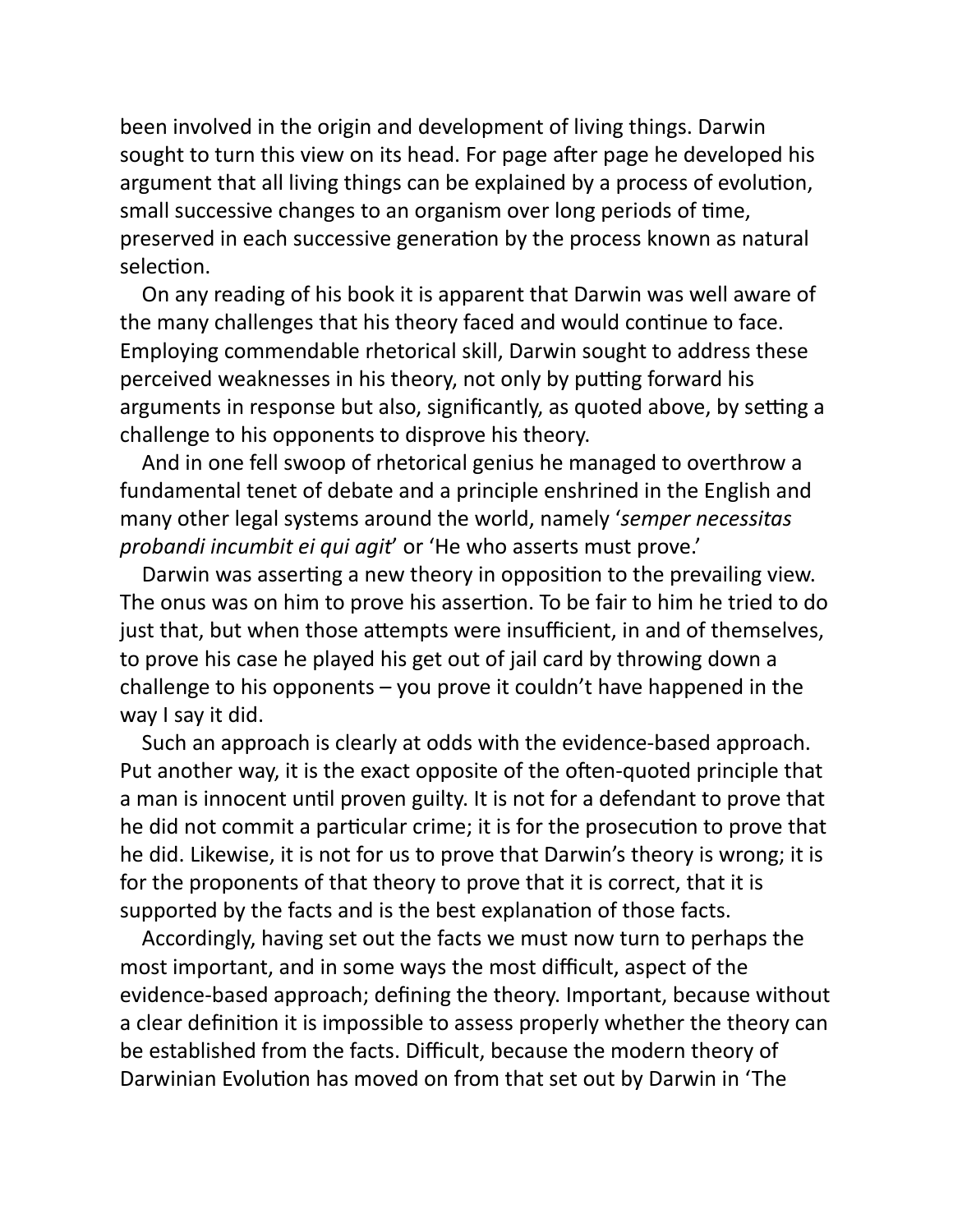been involved in the origin and development of living things. Darwin sought to turn this view on its head. For page after page he developed his argument that all living things can be explained by a process of evolution, small successive changes to an organism over long periods of time, preserved in each successive generation by the process known as natural selection.

On any reading of his book it is apparent that Darwin was well aware of the many challenges that his theory faced and would continue to face. Employing commendable rhetorical skill, Darwin sought to address these perceived weaknesses in his theory, not only by putting forward his arguments in response but also, significantly, as quoted above, by setting a challenge to his opponents to disprove his theory.

And in one fell swoop of rhetorical genius he managed to overthrow a fundamental tenet of debate and a principle enshrined in the English and many other legal systems around the world, namely '*semper necessitas probandi incumbit ei qui agit*' or 'He who asserts must prove.'

Darwin was asserting a new theory in opposition to the prevailing view. The onus was on him to prove his assertion. To be fair to him he tried to do just that, but when those attempts were insufficient, in and of themselves, to prove his case he played his get out of jail card by throwing down a challenge to his opponents – you prove it couldn't have happened in the way I say it did.

Such an approach is clearly at odds with the evidence-based approach. Put another way, it is the exact opposite of the often-quoted principle that a man is innocent until proven guilty. It is not for a defendant to prove that he did not commit a particular crime; it is for the prosecution to prove that he did. Likewise, it is not for us to prove that Darwin's theory is wrong; it is for the proponents of that theory to prove that it is correct, that it is supported by the facts and is the best explanation of those facts.

Accordingly, having set out the facts we must now turn to perhaps the most important, and in some ways the most difficult, aspect of the evidence-based approach; defining the theory. Important, because without a clear definition it is impossible to assess properly whether the theory can be established from the facts. Difficult, because the modern theory of Darwinian Evolution has moved on from that set out by Darwin in 'The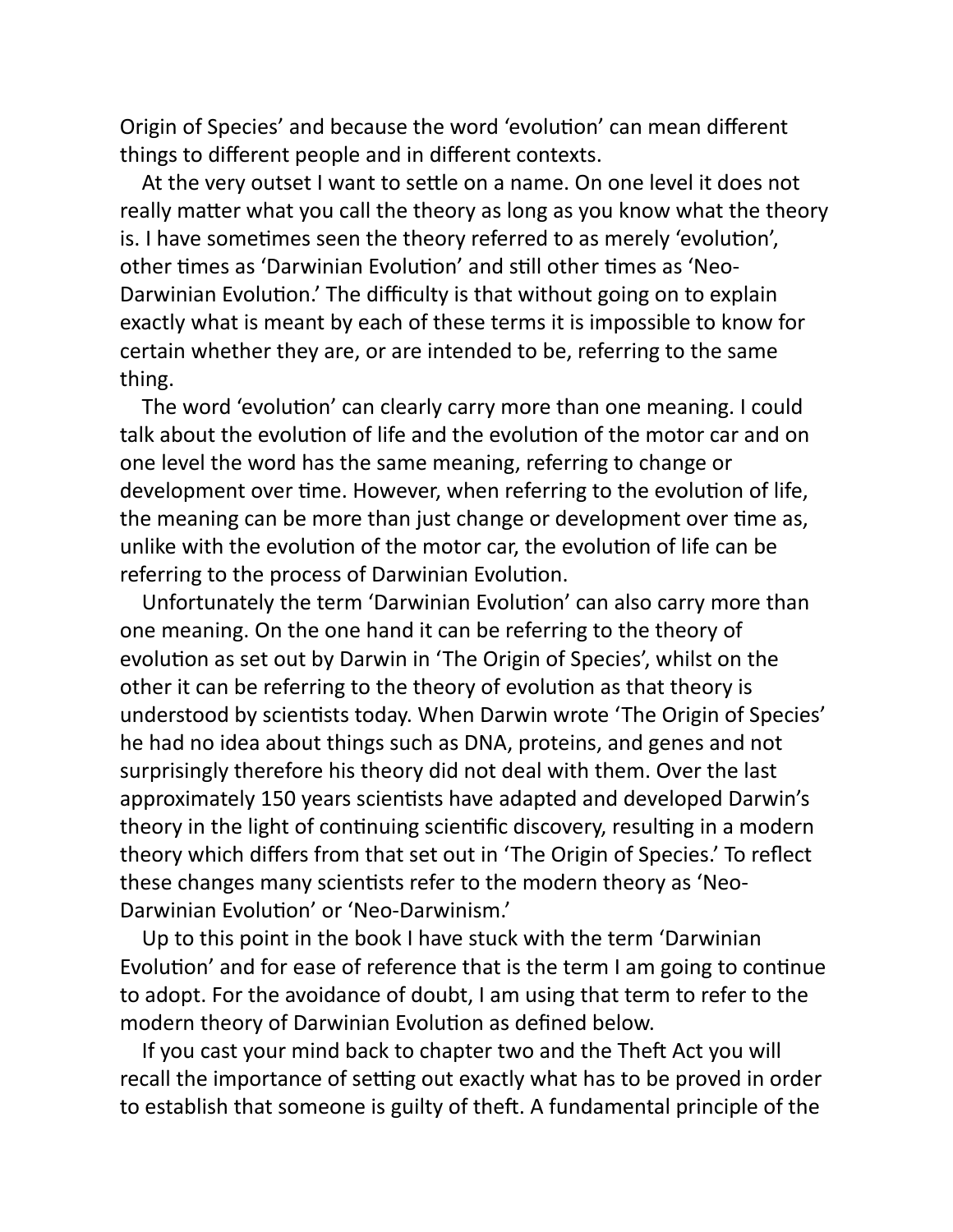Origin of Species' and because the word 'evolution' can mean different things to different people and in different contexts.

At the very outset I want to settle on a name. On one level it does not really matter what you call the theory as long as you know what the theory is. I have sometimes seen the theory referred to as merely 'evolution', other times as 'Darwinian Evolution' and still other times as 'Neo-Darwinian Evolution.' The difficulty is that without going on to explain exactly what is meant by each of these terms it is impossible to know for certain whether they are, or are intended to be, referring to the same thing.

The word 'evolution' can clearly carry more than one meaning. I could talk about the evolution of life and the evolution of the motor car and on one level the word has the same meaning, referring to change or development over time. However, when referring to the evolution of life, the meaning can be more than just change or development over time as, unlike with the evolution of the motor car, the evolution of life can be referring to the process of Darwinian Evolution.

Unfortunately the term 'Darwinian Evolution' can also carry more than one meaning. On the one hand it can be referring to the theory of evolution as set out by Darwin in 'The Origin of Species', whilst on the other it can be referring to the theory of evolution as that theory is understood by scientists today. When Darwin wrote 'The Origin of Species' he had no idea about things such as DNA, proteins, and genes and not surprisingly therefore his theory did not deal with them. Over the last approximately 150 years scientists have adapted and developed Darwin's theory in the light of continuing scientific discovery, resulting in a modern theory which differs from that set out in 'The Origin of Species.' To reflect these changes many scientists refer to the modern theory as 'Neo-Darwinian Evolution' or 'Neo-Darwinism.'

Up to this point in the book I have stuck with the term 'Darwinian Evolution' and for ease of reference that is the term I am going to continue to adopt. For the avoidance of doubt, I am using that term to refer to the modern theory of Darwinian Evolution as defined below.

If you cast your mind back to chapter two and the Theft Act you will recall the importance of setting out exactly what has to be proved in order to establish that someone is guilty of theft. A fundamental principle of the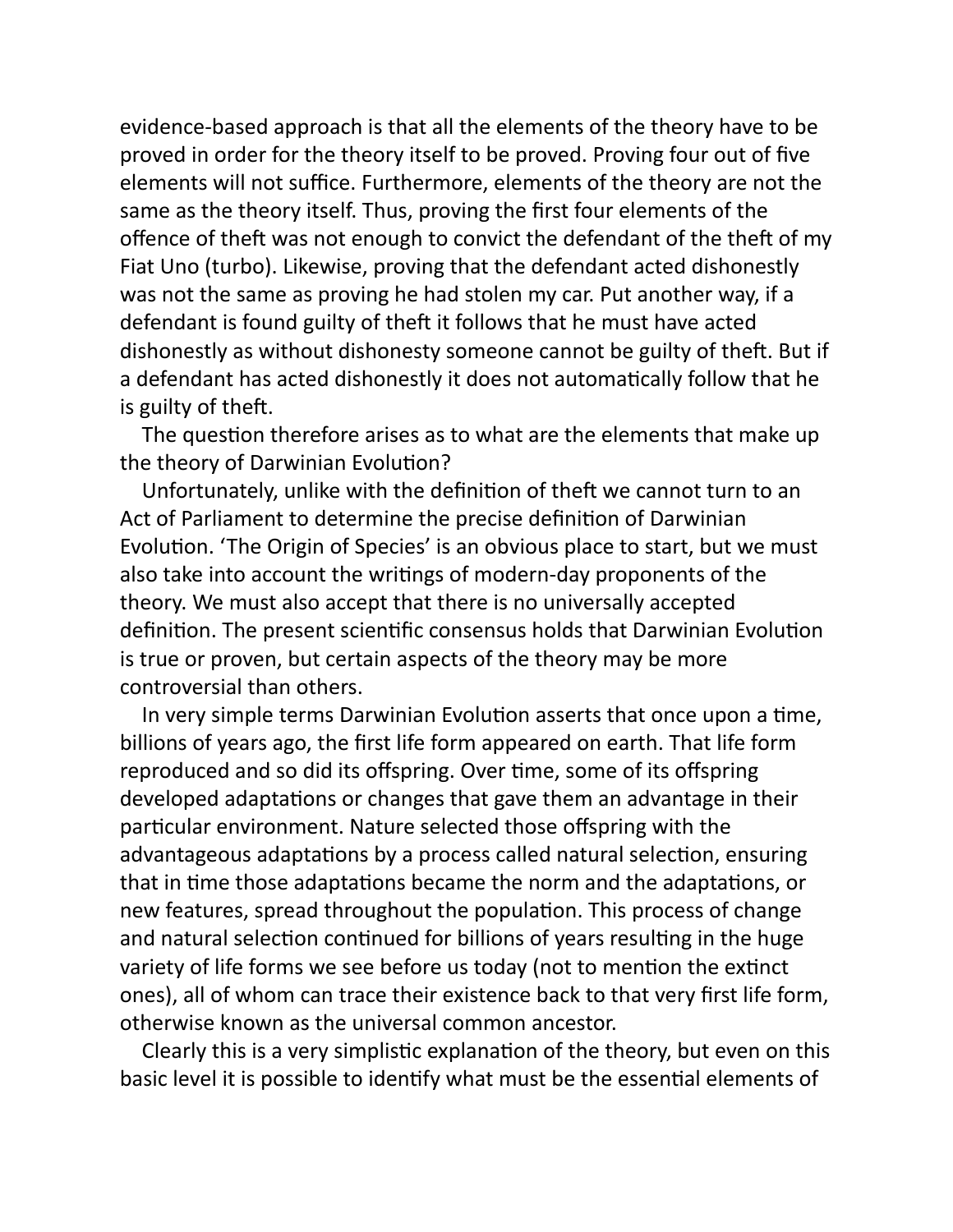evidence-based approach is that all the elements of the theory have to be proved in order for the theory itself to be proved. Proving four out of five elements will not suffice. Furthermore, elements of the theory are not the same as the theory itself. Thus, proving the first four elements of the offence of theft was not enough to convict the defendant of the theft of my Fiat Uno (turbo). Likewise, proving that the defendant acted dishonestly was not the same as proving he had stolen my car. Put another way, if a defendant is found guilty of theft it follows that he must have acted dishonestly as without dishonesty someone cannot be guilty of theft. But if a defendant has acted dishonestly it does not automatically follow that he is guilty of theft.

The question therefore arises as to what are the elements that make up the theory of Darwinian Evolution?

Unfortunately, unlike with the definition of theft we cannot turn to an Act of Parliament to determine the precise definition of Darwinian Evolution. 'The Origin of Species' is an obvious place to start, but we must also take into account the writings of modern-day proponents of the theory. We must also accept that there is no universally accepted definition. The present scientific consensus holds that Darwinian Evolution is true or proven, but certain aspects of the theory may be more controversial than others.

In very simple terms Darwinian Evolution asserts that once upon a time, billions of years ago, the first life form appeared on earth. That life form reproduced and so did its offspring. Over time, some of its offspring developed adaptations or changes that gave them an advantage in their particular environment. Nature selected those offspring with the advantageous adaptations by a process called natural selection, ensuring that in time those adaptations became the norm and the adaptations, or new features, spread throughout the population. This process of change and natural selection continued for billions of years resulting in the huge variety of life forms we see before us today (not to mention the extinct ones), all of whom can trace their existence back to that very first life form, otherwise known as the universal common ancestor.

Clearly this is a very simplistic explanation of the theory, but even on this basic level it is possible to identify what must be the essential elements of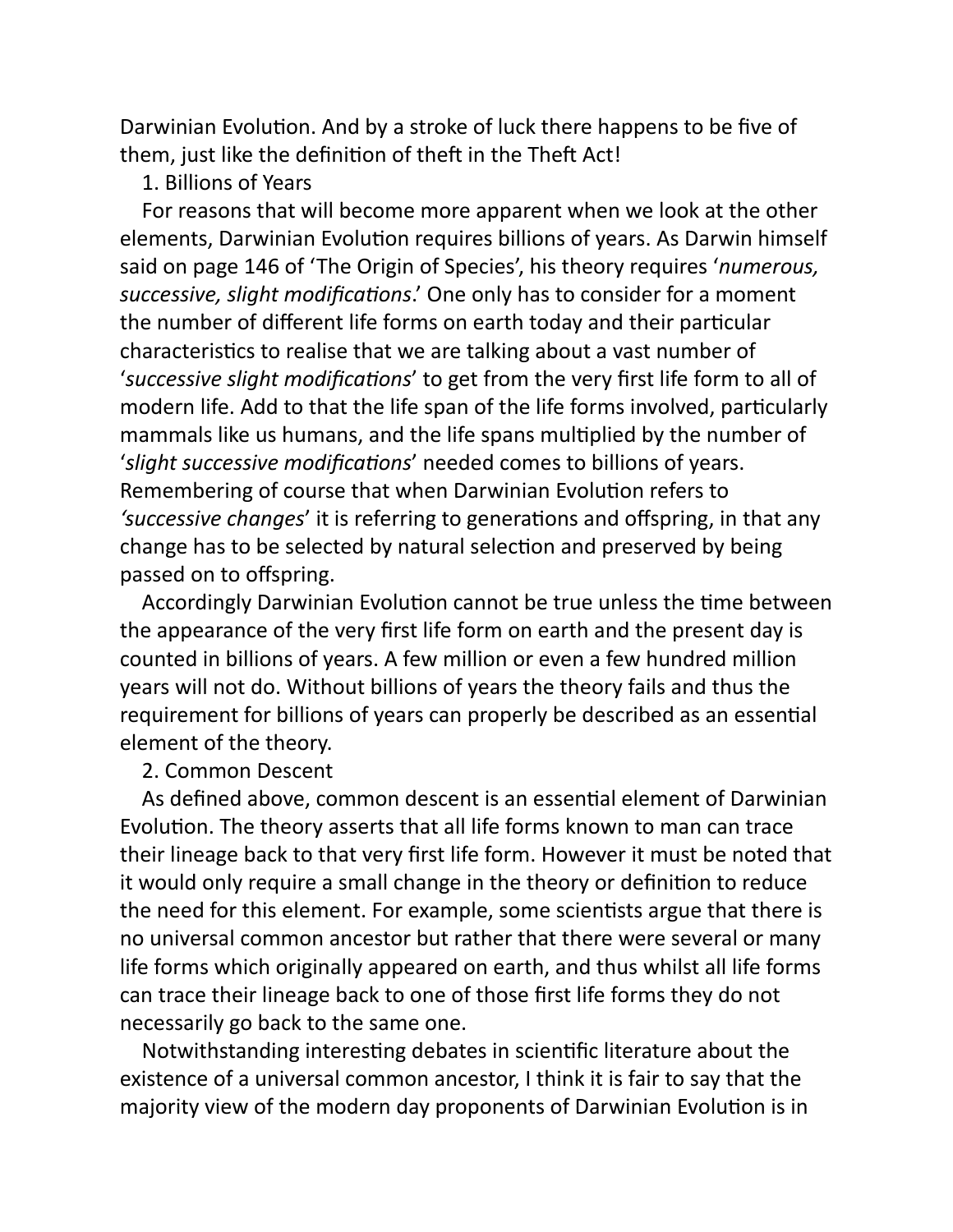Darwinian Evolution. And by a stroke of luck there happens to be five of them, just like the definition of theft in the Theft Act!

### 1. Billions of Years

For reasons that will become more apparent when we look at the other elements, Darwinian Evolution requires billions of years. As Darwin himself said on page 146 of 'The Origin of Species', his theory requires '*numerous, successive, slight modifications*.' One only has to consider for a moment the number of different life forms on earth today and their particular characteristics to realise that we are talking about a vast number of 'successive slight modifications' to get from the very first life form to all of modern life. Add to that the life span of the life forms involved, particularly mammals like us humans, and the life spans multiplied by the number of 'slight successive modifications' needed comes to billions of years. Remembering of course that when Darwinian Evolution refers to 'successive changes' it is referring to generations and offspring, in that any change has to be selected by natural selection and preserved by being passed on to offspring.

Accordingly Darwinian Evolution cannot be true unless the time between the appearance of the very first life form on earth and the present day is counted in billions of years. A few million or even a few hundred million years will not do. Without billions of years the theory fails and thus the requirement for billions of years can properly be described as an essential element of the theory.

# 2. Common Descent

As defined above, common descent is an essential element of Darwinian Evolution. The theory asserts that all life forms known to man can trace their lineage back to that very first life form. However it must be noted that it would only require a small change in the theory or definition to reduce the need for this element. For example, some scientists argue that there is no universal common ancestor but rather that there were several or many life forms which originally appeared on earth, and thus whilst all life forms can trace their lineage back to one of those first life forms they do not necessarily go back to the same one.

Notwithstanding interesting debates in scientific literature about the existence of a universal common ancestor, I think it is fair to say that the majority view of the modern day proponents of Darwinian Evolution is in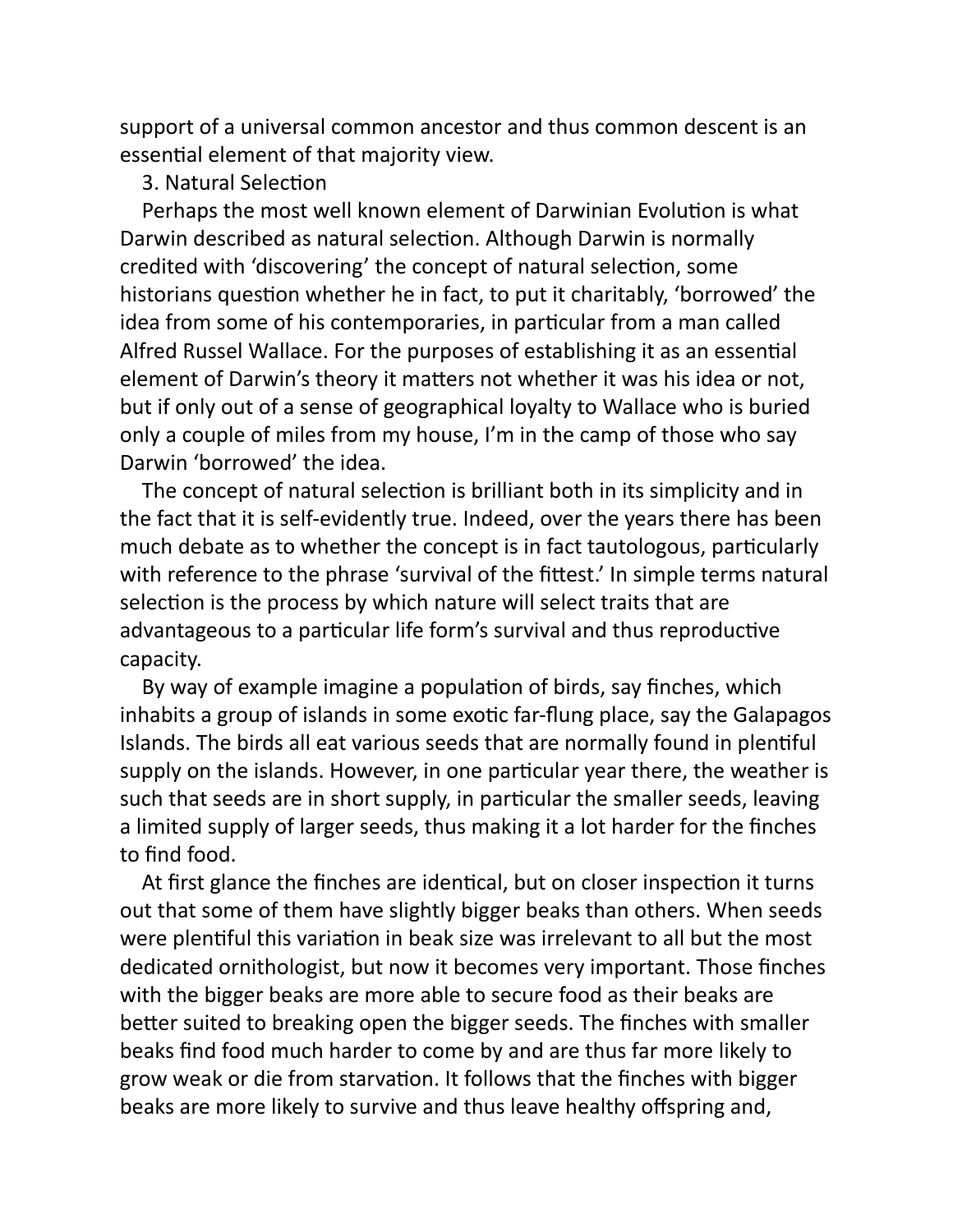support of a universal common ancestor and thus common descent is an essential element of that majority view.

#### 3. Natural Selection

Perhaps the most well known element of Darwinian Evolution is what Darwin described as natural selection. Although Darwin is normally credited with 'discovering' the concept of natural selection, some historians question whether he in fact, to put it charitably, 'borrowed' the idea from some of his contemporaries, in particular from a man called Alfred Russel Wallace. For the purposes of establishing it as an essential element of Darwin's theory it matters not whether it was his idea or not, but if only out of a sense of geographical loyalty to Wallace who is buried only a couple of miles from my house, I'm in the camp of those who say Darwin 'borrowed' the idea.

The concept of natural selection is brilliant both in its simplicity and in the fact that it is self-evidently true. Indeed, over the years there has been much debate as to whether the concept is in fact tautologous, particularly with reference to the phrase 'survival of the fittest.' In simple terms natural selection is the process by which nature will select traits that are advantageous to a particular life form's survival and thus reproductive capacity.

By way of example imagine a population of birds, say finches, which inhabits a group of islands in some exotic far-flung place, say the Galapagos Islands. The birds all eat various seeds that are normally found in plentiful supply on the islands. However, in one particular year there, the weather is such that seeds are in short supply, in particular the smaller seeds, leaving a limited supply of larger seeds, thus making it a lot harder for the finches to find food.

At first glance the finches are identical, but on closer inspection it turns out that some of them have slightly bigger beaks than others. When seeds were plentiful this variation in beak size was irrelevant to all but the most dedicated ornithologist, but now it becomes very important. Those finches with the bigger beaks are more able to secure food as their beaks are better suited to breaking open the bigger seeds. The finches with smaller beaks find food much harder to come by and are thus far more likely to grow weak or die from starvation. It follows that the finches with bigger beaks are more likely to survive and thus leave healthy offspring and,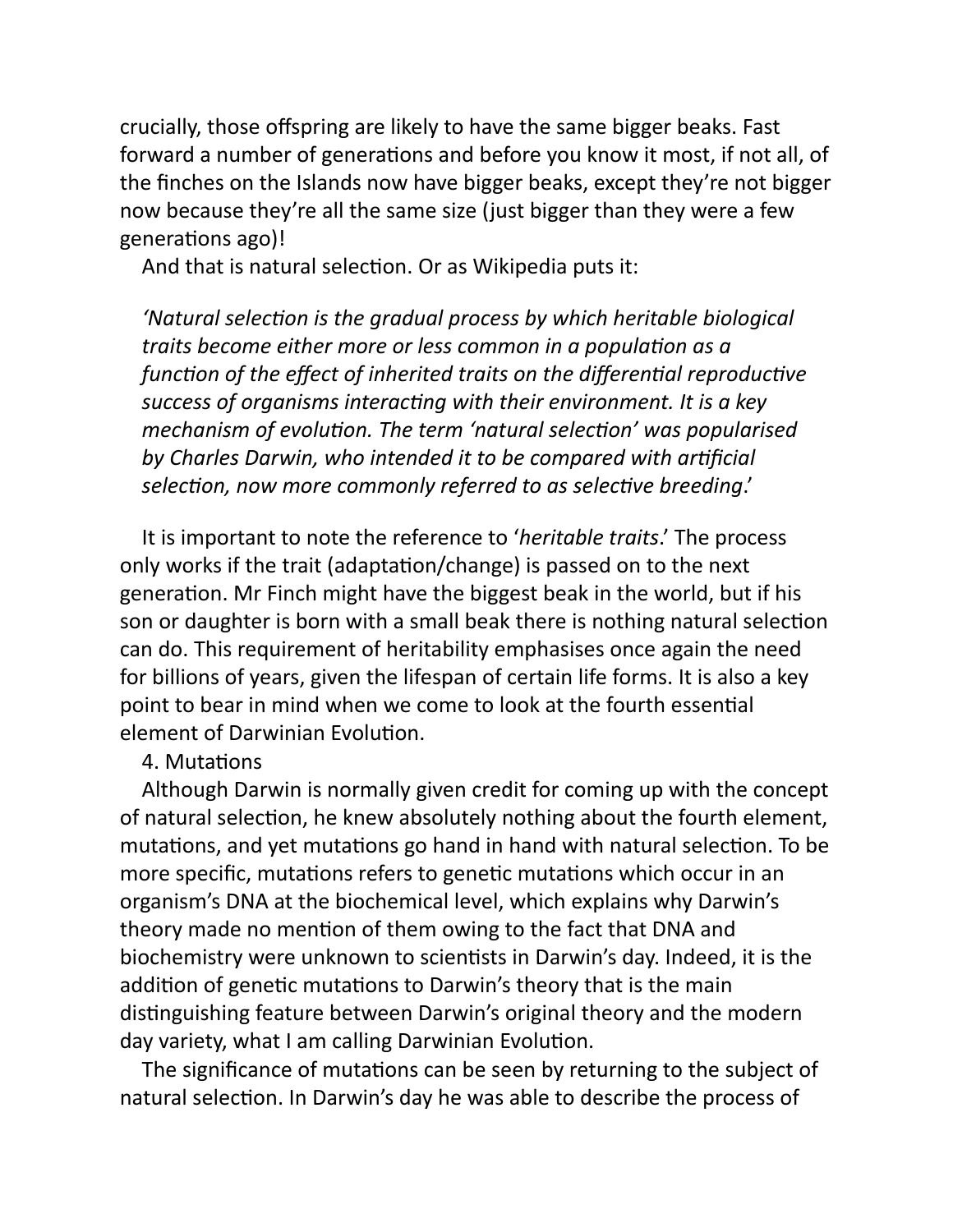crucially, those offspring are likely to have the same bigger beaks. Fast forward a number of generations and before you know it most, if not all, of the finches on the Islands now have bigger beaks, except they're not bigger now because they're all the same size (just bigger than they were a few generations ago)!

And that is natural selection. Or as Wikipedia puts it:

'Natural selection is the gradual process by which heritable biological *traits become either more or less common in a population as a function of the effect of inherited traits on the differential reproductive* success of organisms interacting with their environment. It is a key *mechanism of evolution. The term 'natural selection' was popularised by Charles Darwin, who intended it to be compared with arficial* selection, now more commonly referred to as selective breeding.'

It is important to note the reference to '*heritable traits*.' The process only works if the trait (adaptation/change) is passed on to the next generation. Mr Finch might have the biggest beak in the world, but if his son or daughter is born with a small beak there is nothing natural selection can do. This requirement of heritability emphasises once again the need for billions of years, given the lifespan of certain life forms. It is also a key point to bear in mind when we come to look at the fourth essential element of Darwinian Evolution.

### 4. Mutations

Although Darwin is normally given credit for coming up with the concept of natural selection, he knew absolutely nothing about the fourth element, mutations, and yet mutations go hand in hand with natural selection. To be more specific, mutations refers to genetic mutations which occur in an organism's DNA at the biochemical level, which explains why Darwin's theory made no mention of them owing to the fact that DNA and biochemistry were unknown to scientists in Darwin's day. Indeed, it is the addition of genetic mutations to Darwin's theory that is the main distinguishing feature between Darwin's original theory and the modern day variety, what I am calling Darwinian Evolution.

The significance of mutations can be seen by returning to the subject of natural selection. In Darwin's day he was able to describe the process of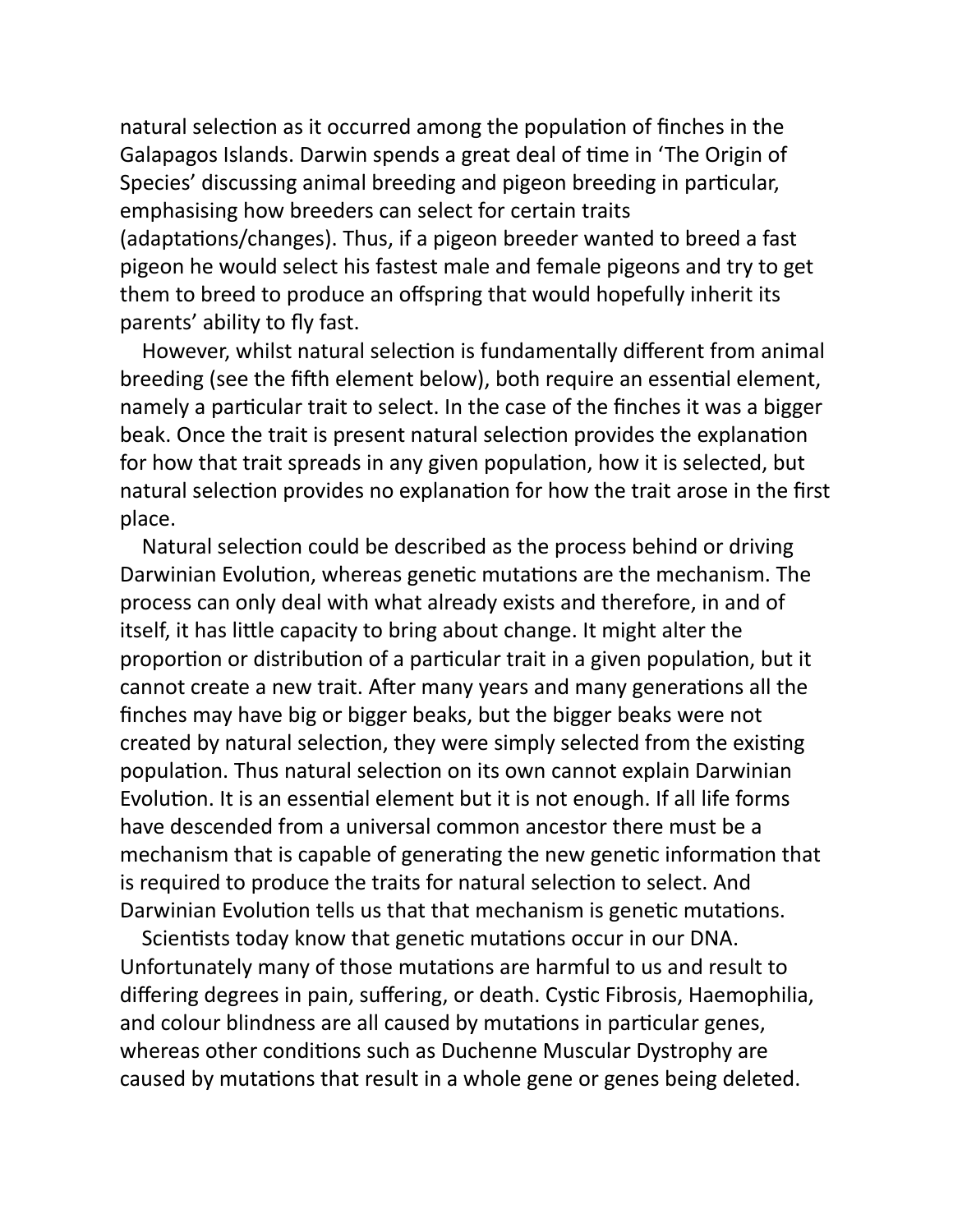natural selection as it occurred among the population of finches in the Galapagos Islands. Darwin spends a great deal of time in 'The Origin of Species' discussing animal breeding and pigeon breeding in particular, emphasising how breeders can select for certain traits (adaptations/changes). Thus, if a pigeon breeder wanted to breed a fast pigeon he would select his fastest male and female pigeons and try to get them to breed to produce an offspring that would hopefully inherit its parents' ability to fly fast.

However, whilst natural selection is fundamentally different from animal breeding (see the fifth element below), both require an essential element, namely a particular trait to select. In the case of the finches it was a bigger beak. Once the trait is present natural selection provides the explanation for how that trait spreads in any given population, how it is selected, but natural selection provides no explanation for how the trait arose in the first place.

Natural selection could be described as the process behind or driving Darwinian Evolution, whereas genetic mutations are the mechanism. The process can only deal with what already exists and therefore, in and of itself, it has little capacity to bring about change. It might alter the proportion or distribution of a particular trait in a given population, but it cannot create a new trait. After many years and many generations all the finches may have big or bigger beaks, but the bigger beaks were not created by natural selection, they were simply selected from the existing population. Thus natural selection on its own cannot explain Darwinian Evolution. It is an essential element but it is not enough. If all life forms have descended from a universal common ancestor there must be a mechanism that is capable of generating the new genetic information that is required to produce the traits for natural selection to select. And Darwinian Evolution tells us that that mechanism is genetic mutations.

Scientists today know that genetic mutations occur in our DNA. Unfortunately many of those mutations are harmful to us and result to differing degrees in pain, suffering, or death. Cystic Fibrosis, Haemophilia, and colour blindness are all caused by mutations in particular genes, whereas other conditions such as Duchenne Muscular Dystrophy are caused by mutations that result in a whole gene or genes being deleted.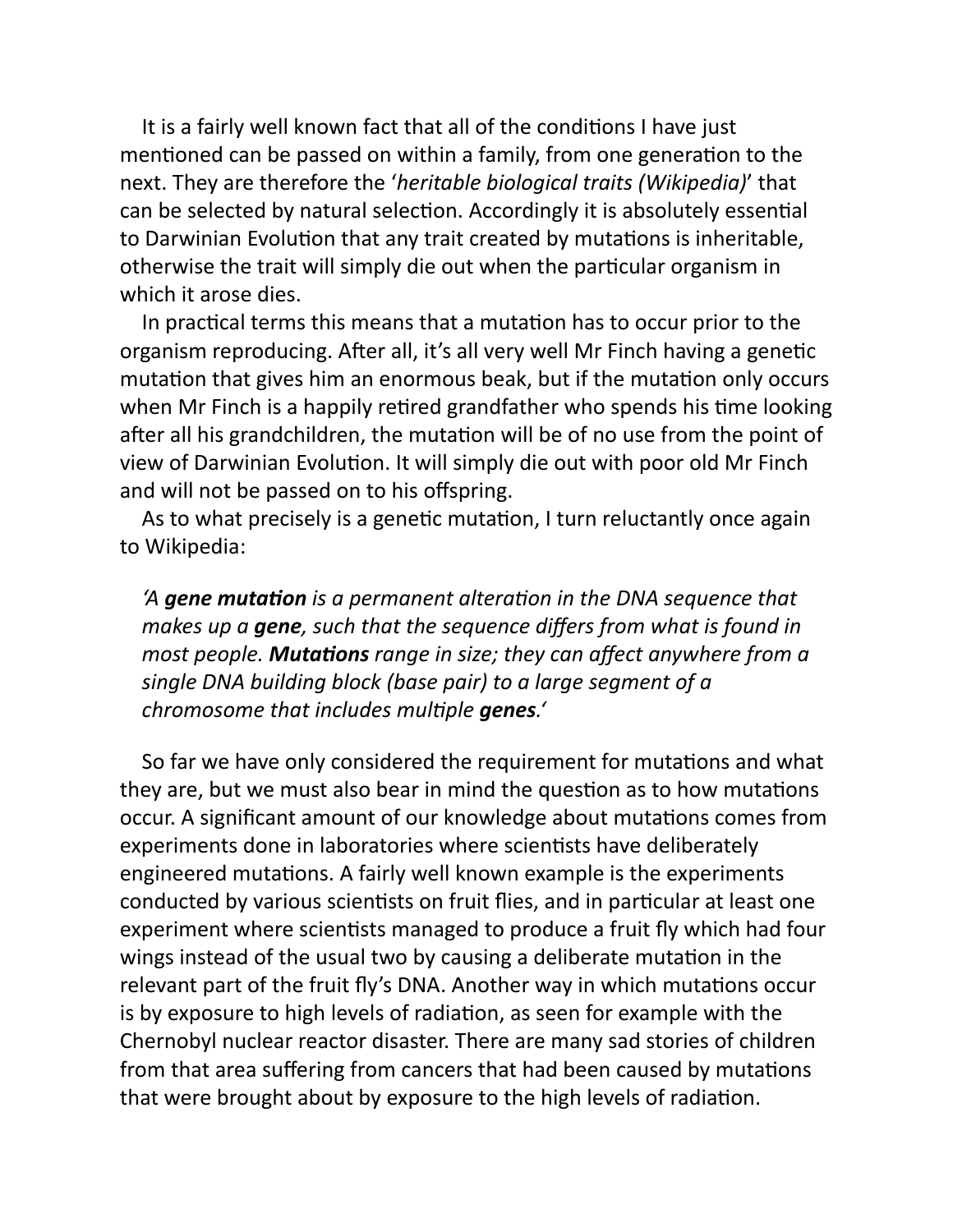It is a fairly well known fact that all of the conditions I have just mentioned can be passed on within a family, from one generation to the next. They are therefore the '*heritable biological traits (Wikipedia)*' that can be selected by natural selection. Accordingly it is absolutely essential to Darwinian Evolution that any trait created by mutations is inheritable, otherwise the trait will simply die out when the particular organism in which it arose dies.

In practical terms this means that a mutation has to occur prior to the organism reproducing. After all, it's all very well Mr Finch having a genetic mutation that gives him an enormous beak, but if the mutation only occurs when Mr Finch is a happily retired grandfather who spends his time looking after all his grandchildren, the mutation will be of no use from the point of view of Darwinian Evolution. It will simply die out with poor old Mr Finch and will not be passed on to his offspring.

As to what precisely is a genetic mutation, I turn reluctantly once again to Wikipedia:

*'A gene mutation* is a permanent alteration in the DNA sequence that *makes up a gene, such that the sequence differs from what is found in most people. Mutations range in size; they can affect anywhere from a single DNA building block (base pair) to a large segment of a chromosome that includes mulple genes.'*

So far we have only considered the requirement for mutations and what they are, but we must also bear in mind the question as to how mutations occur. A significant amount of our knowledge about mutations comes from experiments done in laboratories where scientists have deliberately engineered mutations. A fairly well known example is the experiments conducted by various scientists on fruit flies, and in particular at least one experiment where scientists managed to produce a fruit fly which had four wings instead of the usual two by causing a deliberate mutation in the relevant part of the fruit fly's DNA. Another way in which mutations occur is by exposure to high levels of radiation, as seen for example with the Chernobyl nuclear reactor disaster. There are many sad stories of children from that area suffering from cancers that had been caused by mutations that were brought about by exposure to the high levels of radiation.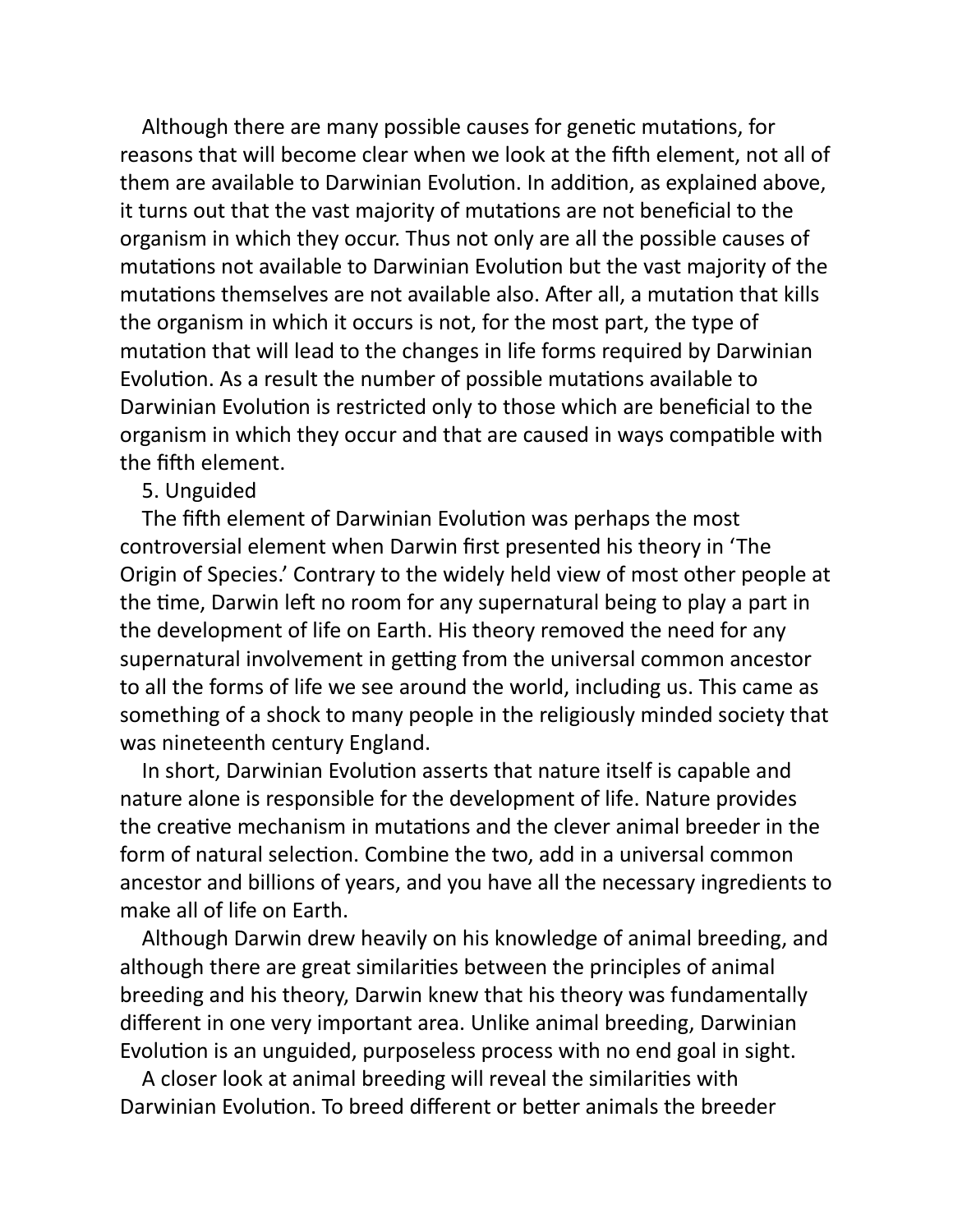Although there are many possible causes for genetic mutations, for reasons that will become clear when we look at the fifth element, not all of them are available to Darwinian Evolution. In addition, as explained above, it turns out that the vast majority of mutations are not beneficial to the organism in which they occur. Thus not only are all the possible causes of mutations not available to Darwinian Evolution but the vast majority of the mutations themselves are not available also. After all, a mutation that kills the organism in which it occurs is not, for the most part, the type of mutation that will lead to the changes in life forms required by Darwinian Evolution. As a result the number of possible mutations available to Darwinian Evolution is restricted only to those which are beneficial to the organism in which they occur and that are caused in ways compatible with the fifth element.

## 5. Unguided

The fifth element of Darwinian Evolution was perhaps the most controversial element when Darwin first presented his theory in 'The Origin of Species.' Contrary to the widely held view of most other people at the time, Darwin left no room for any supernatural being to play a part in the development of life on Earth. His theory removed the need for any supernatural involvement in getting from the universal common ancestor to all the forms of life we see around the world, including us. This came as something of a shock to many people in the religiously minded society that was nineteenth century England.

In short, Darwinian Evolution asserts that nature itself is capable and nature alone is responsible for the development of life. Nature provides the creative mechanism in mutations and the clever animal breeder in the form of natural selection. Combine the two, add in a universal common ancestor and billions of years, and you have all the necessary ingredients to make all of life on Earth.

Although Darwin drew heavily on his knowledge of animal breeding, and although there are great similarities between the principles of animal breeding and his theory, Darwin knew that his theory was fundamentally different in one very important area. Unlike animal breeding, Darwinian Evolution is an unguided, purposeless process with no end goal in sight.

A closer look at animal breeding will reveal the similarities with Darwinian Evolution. To breed different or better animals the breeder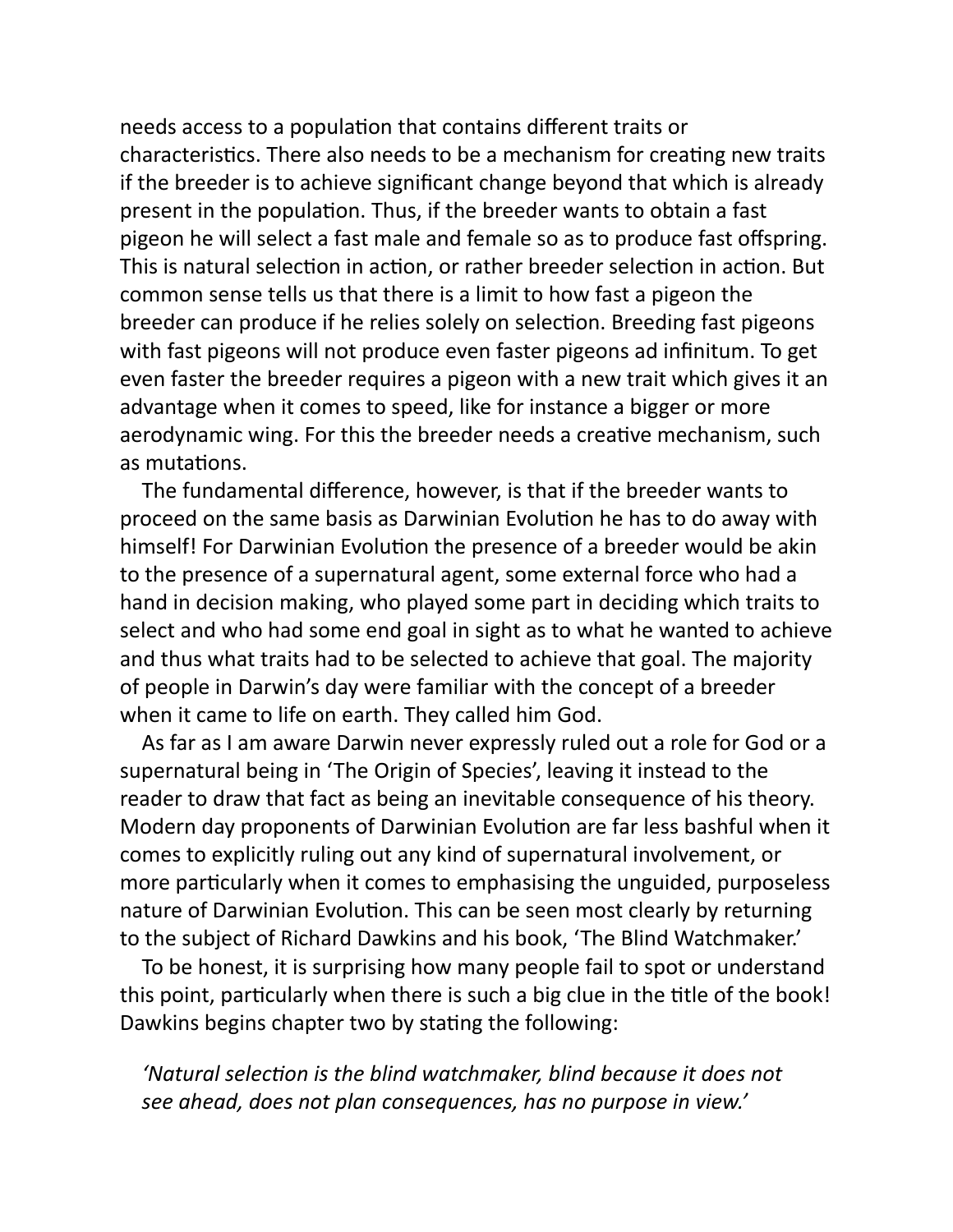needs access to a population that contains different traits or characteristics. There also needs to be a mechanism for creating new traits if the breeder is to achieve significant change beyond that which is already present in the population. Thus, if the breeder wants to obtain a fast pigeon he will select a fast male and female so as to produce fast offspring. This is natural selection in action, or rather breeder selection in action. But common sense tells us that there is a limit to how fast a pigeon the breeder can produce if he relies solely on selection. Breeding fast pigeons with fast pigeons will not produce even faster pigeons ad infinitum. To get even faster the breeder requires a pigeon with a new trait which gives it an advantage when it comes to speed, like for instance a bigger or more aerodynamic wing. For this the breeder needs a creative mechanism, such as mutations.

The fundamental difference, however, is that if the breeder wants to proceed on the same basis as Darwinian Evolution he has to do away with himself! For Darwinian Evolution the presence of a breeder would be akin to the presence of a supernatural agent, some external force who had a hand in decision making, who played some part in deciding which traits to select and who had some end goal in sight as to what he wanted to achieve and thus what traits had to be selected to achieve that goal. The majority of people in Darwin's day were familiar with the concept of a breeder when it came to life on earth. They called him God.

As far as I am aware Darwin never expressly ruled out a role for God or a supernatural being in 'The Origin of Species', leaving it instead to the reader to draw that fact as being an inevitable consequence of his theory. Modern day proponents of Darwinian Evolution are far less bashful when it comes to explicitly ruling out any kind of supernatural involvement, or more particularly when it comes to emphasising the unguided, purposeless nature of Darwinian Evolution. This can be seen most clearly by returning to the subject of Richard Dawkins and his book, 'The Blind Watchmaker.'

To be honest, it is surprising how many people fail to spot or understand this point, particularly when there is such a big clue in the title of the book! Dawkins begins chapter two by stating the following:

'Natural selection is the blind watchmaker, blind because it does not *see ahead, does not plan consequences, has no purpose in view.'*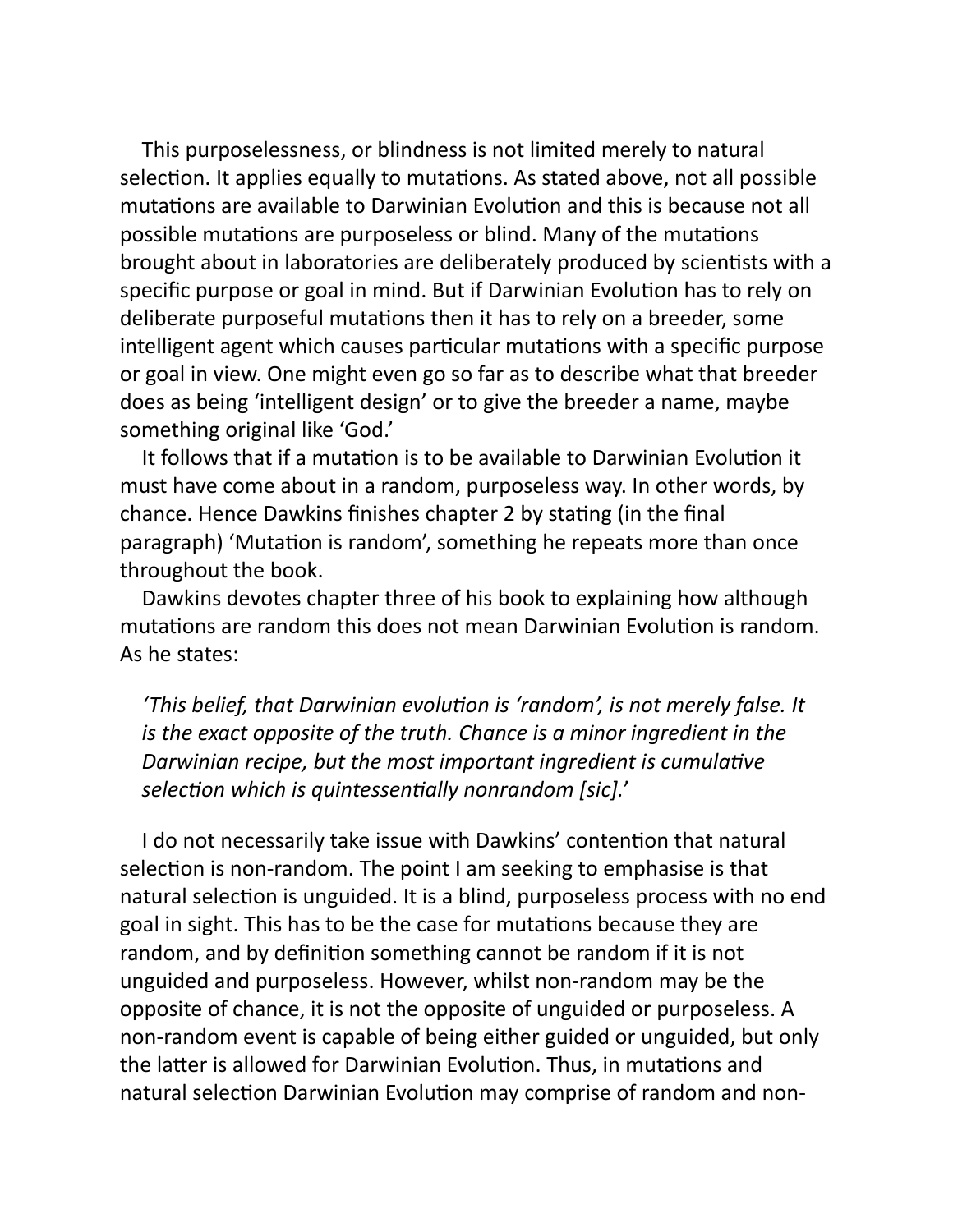This purposelessness, or blindness is not limited merely to natural selection. It applies equally to mutations. As stated above, not all possible mutations are available to Darwinian Evolution and this is because not all possible mutations are purposeless or blind. Many of the mutations brought about in laboratories are deliberately produced by scientists with a specific purpose or goal in mind. But if Darwinian Evolution has to rely on deliberate purposeful mutations then it has to rely on a breeder, some intelligent agent which causes particular mutations with a specific purpose or goal in view. One might even go so far as to describe what that breeder does as being 'intelligent design' or to give the breeder a name, maybe something original like 'God.'

It follows that if a mutation is to be available to Darwinian Evolution it must have come about in a random, purposeless way. In other words, by chance. Hence Dawkins finishes chapter 2 by stating (in the final paragraph) 'Mutation is random', something he repeats more than once throughout the book.

Dawkins devotes chapter three of his book to explaining how although mutations are random this does not mean Darwinian Evolution is random. As he states:

'This belief, that Darwinian evolution is 'random', is not merely false. It *is the exact opposite of the truth. Chance is a minor ingredient in the Darwinian recipe, but the most important ingredient is cumulative* selection which is quintessentially nonrandom [sic].'

I do not necessarily take issue with Dawkins' contention that natural selection is non-random. The point I am seeking to emphasise is that natural selection is unguided. It is a blind, purposeless process with no end goal in sight. This has to be the case for mutations because they are random, and by definition something cannot be random if it is not unguided and purposeless. However, whilst non-random may be the opposite of chance, it is not the opposite of unguided or purposeless. A non-random event is capable of being either guided or unguided, but only the latter is allowed for Darwinian Evolution. Thus, in mutations and natural selection Darwinian Evolution may comprise of random and non